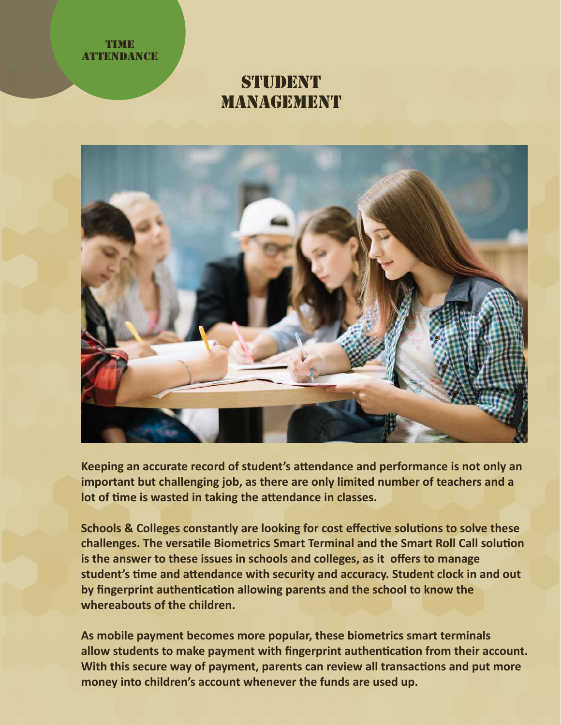#### **TIME ATTENDANCE**

# STIJDENT **MANAGEMENT**



**Keeping an accurate record of student's a�endance and performance is not only an important but challenging job, as there are only limited number of teachers and a** lot of time is wasted in taking the attendance in classes.

**Schools & Colleges constantly are looking for cost effective solutions to solve these** challenges. The versatile Biometrics Smart Terminal and the Smart Roll Call solution **is the answer to these issues in schools and colleges, as it offers to manage student's �me and a�endance with security and accuracy. Student clock in and out** by fingerprint authentication allowing parents and the school to know the **whereabouts of the children.**

**As mobile payment becomes more popular, these biometrics smart terminals**  allow students to make payment with fingerprint authentication from their account. With this secure way of payment, parents can review all transactions and put more **money into children's account whenever the funds are used up.**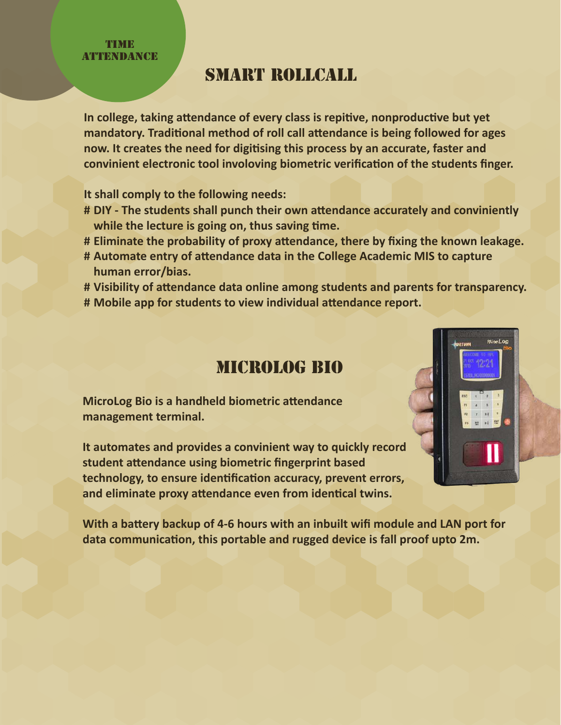**TIME ATTENDANCE** 

## smart rollcall

In college, taking attendance of every class is repitive, nonproductive but yet mandatory. Traditional method of roll call attendance is being followed for ages **now. It creates the need for digi�sing this process by an accurate, faster and** convinient electronic tool involoving biometric verification of the students finger.

**It shall comply to the following needs:**

- **DIY The students shall punch their own a�endance accurately and conviniently #** while the lecture is going on, thus saving time.
- **Eliminate the probability of proxy a�endance, there by fixing the known leakage. #**
- **Automate entry of a�endance data in the College Academic MIS to capture # human error/bias.**
- **Visibility of a�endance data online among students and parents for transparency. #**
- **Mobile app for students to view individual a�endance report. #**

### MICROLOG BIO

**MicroLog Bio is a handheld biometric attendance management terminal.**

**It automates and provides a convinient way to quickly record student a�endance using biometric fingerprint based** technology, to ensure identification accuracy, prevent errors, and eliminate proxy attendance even from identical twins.

With a battery backup of 4-6 hours with an inbuilt wifi module and LAN port for data communication, this portable and rugged device is fall proof upto 2m.